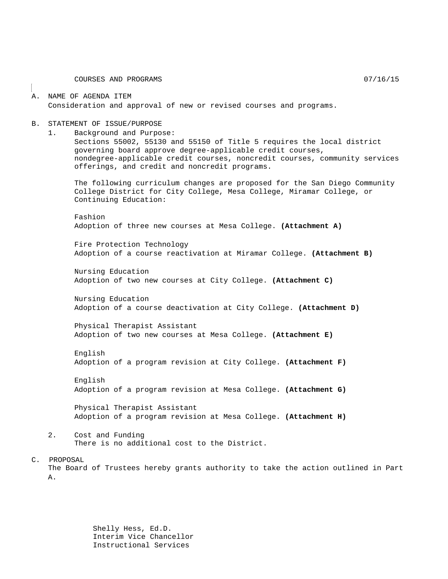COURSES AND PROGRAMS  $07/16/15$ 

#### A. NAME OF AGENDA ITEM Consideration and approval of new or revised courses and programs.

#### B. STATEMENT OF ISSUE/PURPOSE

1. Background and Purpose:

Sections 55002, 55130 and 55150 of Title 5 requires the local district governing board approve degree-applicable credit courses, nondegree-applicable credit courses, noncredit courses, community services offerings, and credit and noncredit programs.

The following curriculum changes are proposed for the San Diego Community College District for City College, Mesa College, Miramar College, or Continuing Education:

Fashion Adoption of three new courses at Mesa College. **(Attachment A)**

Fire Protection Technology Adoption of a course reactivation at Miramar College. **(Attachment B)**

Nursing Education Adoption of two new courses at City College. **(Attachment C)**

Nursing Education Adoption of a course deactivation at City College. **(Attachment D)**

Physical Therapist Assistant Adoption of two new courses at Mesa College. **(Attachment E)**

English Adoption of a program revision at City College. **(Attachment F)**

English Adoption of a program revision at Mesa College. **(Attachment G)**

Physical Therapist Assistant Adoption of a program revision at Mesa College. **(Attachment H)**

2. Cost and Funding There is no additional cost to the District.

C. PROPOSAL

The Board of Trustees hereby grants authority to take the action outlined in Part A.

> Shelly Hess, Ed.D. Interim Vice Chancellor Instructional Services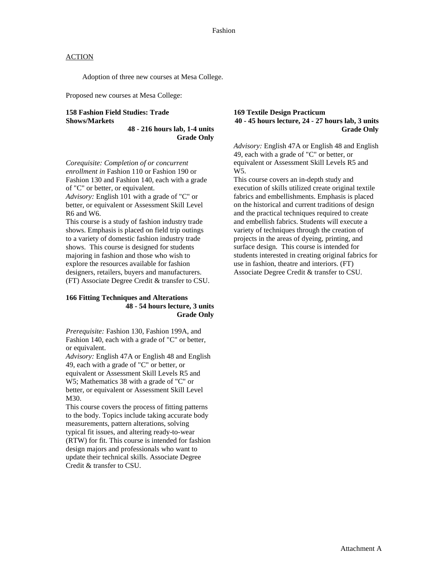Adoption of three new courses at Mesa College.

Proposed new courses at Mesa College:

## **158 Fashion Field Studies: Trade Shows/Markets**

**48 - 216 hours lab, 1-4 units Grade Only**

*Corequisite: Completion of or concurrent enrollment in* Fashion 110 or Fashion 190 or Fashion 130 and Fashion 140, each with a grade of "C" or better, or equivalent.

*Advisory:* English 101 with a grade of "C" or better, or equivalent or Assessment Skill Level R6 and W6.

This course is a study of fashion industry trade shows. Emphasis is placed on field trip outings to a variety of domestic fashion industry trade shows. This course is designed for students majoring in fashion and those who wish to explore the resources available for fashion designers, retailers, buyers and manufacturers. (FT) Associate Degree Credit & transfer to CSU.

## **166 Fitting Techniques and Alterations 48 - 54 hours lecture, 3 units Grade Only**

*Prerequisite:* Fashion 130, Fashion 199A, and Fashion 140, each with a grade of "C" or better, or equivalent.

*Advisory:* English 47A or English 48 and English 49, each with a grade of "C" or better, or equivalent or Assessment Skill Levels R5 and W5; Mathematics 38 with a grade of "C" or better, or equivalent or Assessment Skill Level M30.

This course covers the process of fitting patterns to the body. Topics include taking accurate body measurements, pattern alterations, solving typical fit issues, and altering ready-to-wear (RTW) for fit. This course is intended for fashion design majors and professionals who want to update their technical skills. Associate Degree Credit & transfer to CSU.

#### **169 Textile Design Practicum 40 - 45 hours lecture, 24 - 27 hours lab, 3 units Grade Only**

*Advisory:* English 47A or English 48 and English 49, each with a grade of "C" or better, or equivalent or Assessment Skill Levels R5 and W5.

This course covers an in-depth study and execution of skills utilized create original textile fabrics and embellishments. Emphasis is placed on the historical and current traditions of design and the practical techniques required to create and embellish fabrics. Students will execute a variety of techniques through the creation of projects in the areas of dyeing, printing, and surface design. This course is intended for students interested in creating original fabrics for use in fashion, theatre and interiors. (FT) Associate Degree Credit & transfer to CSU.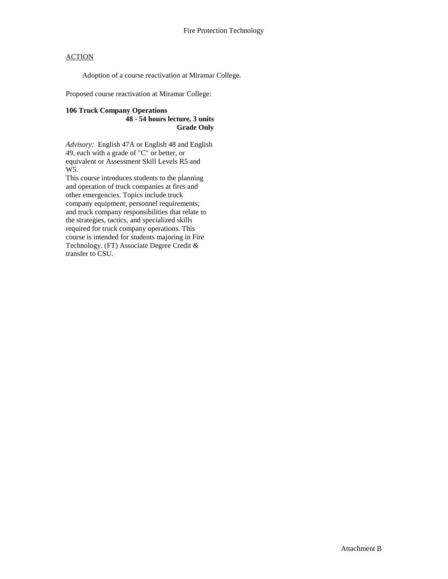Adoption of a course reactivation at Miramar College.

Proposed course reactivation at Miramar College:

# **106 Truck Company Operations**

**48 - 54 hours lecture, 3 units Grade Only**

*Advisory:* English 47A or English 48 and English 49, each with a grade of "C" or better, or equivalent or Assessment Skill Levels R5 and W5.

This course introduces students to the planning and operation of truck companies at fires and other emergencies. Topics include truck company equipment; personnel requirements; and truck company responsibilities that relate to the strategies, tactics, and specialized skills required for truck company operations. This course is intended for students majoring in Fire Technology. (FT) Associate Degree Credit & transfer to CSU.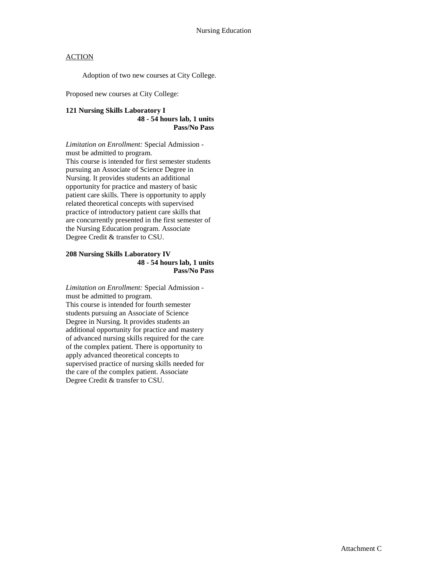Adoption of two new courses at City College.

Proposed new courses at City College:

#### **121 Nursing Skills Laboratory I 48 - 54 hours lab, 1 units Pass/No Pass**

*Limitation on Enrollment:* Special Admission must be admitted to program. This course is intended for first semester students pursuing an Associate of Science Degree in Nursing. It provides students an additional opportunity for practice and mastery of basic patient care skills. There is opportunity to apply related theoretical concepts with supervised practice of introductory patient care skills that are concurrently presented in the first semester of the Nursing Education program. Associate Degree Credit & transfer to CSU.

#### **208 Nursing Skills Laboratory IV 48 - 54 hours lab, 1 units Pass/No Pass**

*Limitation on Enrollment:* Special Admission must be admitted to program. This course is intended for fourth semester students pursuing an Associate of Science Degree in Nursing. It provides students an additional opportunity for practice and mastery of advanced nursing skills required for the care of the complex patient. There is opportunity to apply advanced theoretical concepts to supervised practice of nursing skills needed for the care of the complex patient. Associate Degree Credit & transfer to CSU.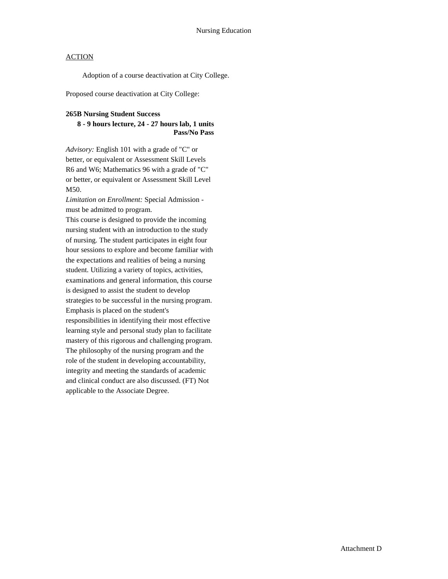Adoption of a course deactivation at City College.

Proposed course deactivation at City College:

#### **265B Nursing Student Success**

## **8 - 9 hours lecture, 24 - 27 hours lab, 1 units Pass/No Pass**

*Advisory:* English 101 with a grade of "C" or better, or equivalent or Assessment Skill Levels R6 and W6; Mathematics 96 with a grade of "C" or better, or equivalent or Assessment Skill Level M50.

*Limitation on Enrollment:* Special Admission must be admitted to program.

This course is designed to provide the incoming nursing student with an introduction to the study of nursing. The student participates in eight four hour sessions to explore and become familiar with the expectations and realities of being a nursing student. Utilizing a variety of topics, activities, examinations and general information, this course is designed to assist the student to develop strategies to be successful in the nursing program. Emphasis is placed on the student's responsibilities in identifying their most effective learning style and personal study plan to facilitate mastery of this rigorous and challenging program. The philosophy of the nursing program and the role of the student in developing accountability, integrity and meeting the standards of academic and clinical conduct are also discussed. (FT) Not applicable to the Associate Degree.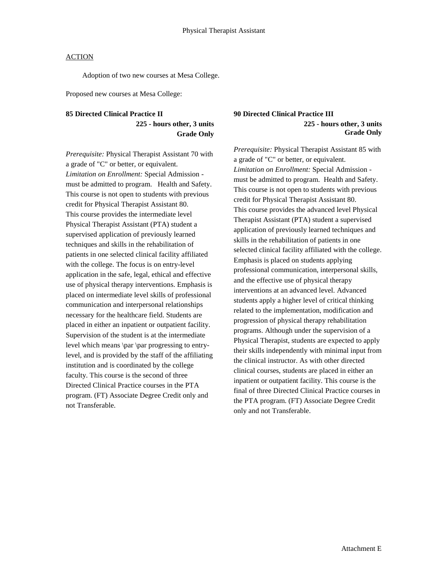Adoption of two new courses at Mesa College.

Proposed new courses at Mesa College:

# **85 Directed Clinical Practice II 225 - hours other, 3 units Grade Only**

*Prerequisite:* Physical Therapist Assistant 70 with a grade of "C" or better, or equivalent. *Limitation on Enrollment:* Special Admission must be admitted to program. Health and Safety. This course is not open to students with previous credit for Physical Therapist Assistant 80. This course provides the intermediate level Physical Therapist Assistant (PTA) student a supervised application of previously learned techniques and skills in the rehabilitation of patients in one selected clinical facility affiliated with the college. The focus is on entry-level application in the safe, legal, ethical and effective use of physical therapy interventions. Emphasis is placed on intermediate level skills of professional communication and interpersonal relationships necessary for the healthcare field. Students are placed in either an inpatient or outpatient facility. Supervision of the student is at the intermediate level which means \par \par progressing to entrylevel, and is provided by the staff of the affiliating institution and is coordinated by the college faculty. This course is the second of three Directed Clinical Practice courses in the PTA program. (FT) Associate Degree Credit only and not Transferable.

## **90 Directed Clinical Practice III 225 - hours other, 3 units Grade Only**

*Prerequisite:* Physical Therapist Assistant 85 with a grade of "C" or better, or equivalent. *Limitation on Enrollment:* Special Admission must be admitted to program. Health and Safety. This course is not open to students with previous credit for Physical Therapist Assistant 80. This course provides the advanced level Physical Therapist Assistant (PTA) student a supervised application of previously learned techniques and skills in the rehabilitation of patients in one selected clinical facility affiliated with the college. Emphasis is placed on students applying professional communication, interpersonal skills, and the effective use of physical therapy interventions at an advanced level. Advanced students apply a higher level of critical thinking related to the implementation, modification and progression of physical therapy rehabilitation programs. Although under the supervision of a Physical Therapist, students are expected to apply their skills independently with minimal input from the clinical instructor. As with other directed clinical courses, students are placed in either an inpatient or outpatient facility. This course is the final of three Directed Clinical Practice courses in the PTA program. (FT) Associate Degree Credit only and not Transferable.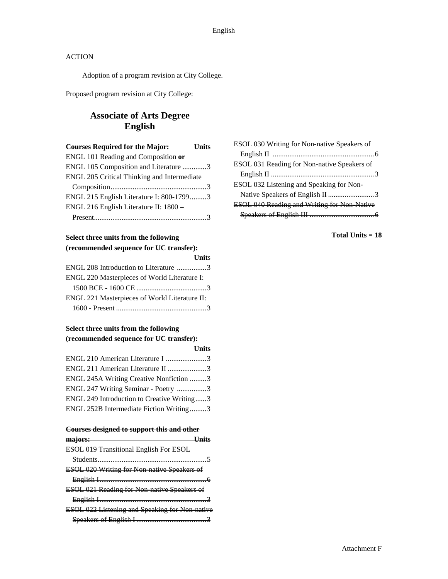Adoption of a program revision at City College.

Proposed program revision at City College:

# **Associate of Arts Degree English**

| <b>Courses Required for the Major:</b>      | Units |
|---------------------------------------------|-------|
| ENGL 101 Reading and Composition or         |       |
| ENGL 105 Composition and Literature 3       |       |
| ENGL 205 Critical Thinking and Intermediate |       |
|                                             |       |
| ENGL 215 English Literature I: 800-17993    |       |
| ENGL 216 English Literature II: 1800 -      |       |
|                                             |       |
|                                             |       |

# **Select three units from the following (recommended sequence for UC transfer):**

| <b>Units</b>                                  |
|-----------------------------------------------|
| ENGL 208 Introduction to Literature 3         |
|                                               |
|                                               |
| ENGL 221 Masterpieces of World Literature II: |
|                                               |
|                                               |

# **Select three units from the following (recommended sequence for UC transfer):**

| <b>Units</b>                               |
|--------------------------------------------|
| ENGL 210 American Literature I 3           |
| ENGL 211 American Literature II 3          |
| ENGL 245A Writing Creative Nonfiction 3    |
| ENGL 247 Writing Seminar - Poetry 3        |
| ENGL 249 Introduction to Creative Writing3 |
| ENGL 252B Intermediate Fiction Writing3    |
|                                            |

#### **Courses designed to support this and other**

| maiors:                                            |
|----------------------------------------------------|
| <b>ESOL 019 Transitional English For ESOL</b>      |
| Students 5                                         |
| <b>ESOL 020 Writing for Non-native Speakers of</b> |
|                                                    |
| <b>ESOL 021 Reading for Non-native Speakers of</b> |
|                                                    |
| ESOL 022 Listening and Speaking for Non-native     |
|                                                    |

| ESOL 030 Writing for Non native Speakers of        |
|----------------------------------------------------|
|                                                    |
| ESOL 031 Reading for Non-native Speakers of        |
|                                                    |
| ESOL 032 Listening and Speaking for Non-           |
|                                                    |
| <b>ESOL 040 Reading and Writing for Non Native</b> |
|                                                    |
|                                                    |

**Total Units = 18**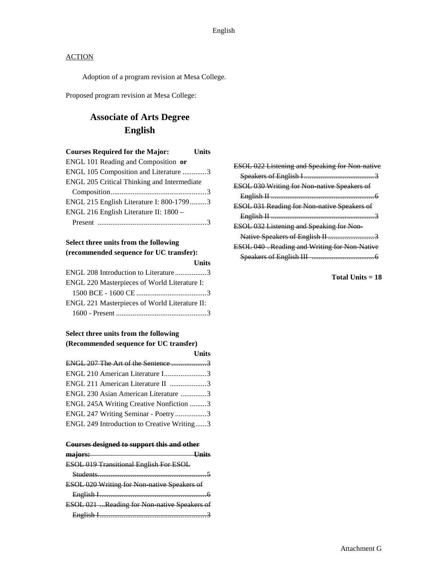Adoption of a program revision at Mesa College.

Proposed program revision at Mesa College:

# **Associate of Arts Degree English**

| <b>Courses Required for the Major:</b>      | Units |
|---------------------------------------------|-------|
| ENGL 101 Reading and Composition or         |       |
| ENGL 105 Composition and Literature 3       |       |
| ENGL 205 Critical Thinking and Intermediate |       |
|                                             |       |
| ENGL 215 English Literature I: 800-17993    |       |
| ENGL 216 English Literature II: 1800 -      |       |
|                                             |       |

## **Select three units from the following (recommended sequence for UC transfer):**

|                                               | <b>Units</b> |
|-----------------------------------------------|--------------|
| ENGL 208 Introduction to Literature3          |              |
| ENGL 220 Masterpieces of World Literature I:  |              |
|                                               |              |
| ENGL 221 Masterpieces of World Literature II: |              |
|                                               |              |
|                                               |              |

# **Select three units from the following (Recommended sequence for UC transfer)**

|                                            | <b>Units</b> |
|--------------------------------------------|--------------|
|                                            |              |
| ENGL 210 American Literature I3            |              |
| ENGL 211 American Literature II 3          |              |
| ENGL 230 Asian American Literature 3       |              |
| ENGL 245A Writing Creative Nonfiction 3    |              |
| ENGL 247 Writing Seminar - Poetry3         |              |
| ENGL 249 Introduction to Creative Writing3 |              |

#### **Courses designed to support this and other**

| ma <sub>lors:</sub>                                                             |  |
|---------------------------------------------------------------------------------|--|
| <b>ESOL 019 Transitional English For ESOL</b>                                   |  |
|                                                                                 |  |
| <b>ESOL 020 Writing for Non native Speakers of</b>                              |  |
|                                                                                 |  |
| ESOL 021 Reading for Non-native Speakers of                                     |  |
| The contract of the contract of the contract of the contract of the contract of |  |

| <b>ESOL 022 Listening and Speaking for Non native</b> |
|-------------------------------------------------------|
|                                                       |
| ESOL 030 Writing for Non native Speakers of           |
|                                                       |
| ESOL 031 Reading for Non-native Speakers of           |
|                                                       |
|                                                       |
| <b>ESOL 032 Listening and Speaking for Non-</b>       |
|                                                       |
| ESOL 040 . Reading and Writing for Non Native         |
|                                                       |

**Total Units = 18**